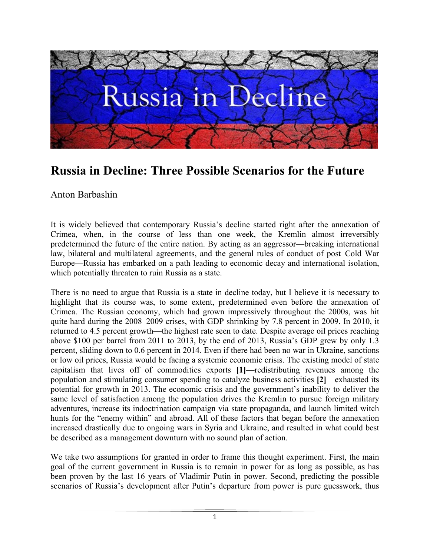

# **Russia in Decline: Three Possible Scenarios for the Future**

## Anton Barbashin

It is widely believed that contemporary Russia's decline started right after the annexation of Crimea, when, in the course of less than one week, the Kremlin almost irreversibly predetermined the future of the entire nation. By acting as an aggressor—breaking international law, bilateral and multilateral agreements, and the general rules of conduct of post–Cold War Europe—Russia has embarked on a path leading to economic decay and international isolation, which potentially threaten to ruin Russia as a state.

There is no need to argue that Russia is a state in decline today, but I believe it is necessary to highlight that its course was, to some extent, predetermined even before the annexation of Crimea. The Russian economy, which had grown impressively throughout the 2000s, was hit quite hard during the 2008–2009 crises, with GDP shrinking by 7.8 percent in 2009. In 2010, it returned to 4.5 percent growth—the highest rate seen to date. Despite average oil prices reaching above \$100 per barrel from 2011 to 2013, by the end of 2013, Russia's GDP grew by only 1.3 percent, sliding down to 0.6 percent in 2014. Even if there had been no war in Ukraine, sanctions or low oil prices, Russia would be facing a systemic economic crisis. The existing model of state capitalism that lives off of commodities exports **[1]**—redistributing revenues among the population and stimulating consumer spending to catalyze business activities **[2]**—exhausted its potential for growth in 2013. The economic crisis and the government's inability to deliver the same level of satisfaction among the population drives the Kremlin to pursue foreign military adventures, increase its indoctrination campaign via state propaganda, and launch limited witch hunts for the "enemy within" and abroad. All of these factors that began before the annexation increased drastically due to ongoing wars in Syria and Ukraine, and resulted in what could best be described as a management downturn with no sound plan of action.

We take two assumptions for granted in order to frame this thought experiment. First, the main goal of the current government in Russia is to remain in power for as long as possible, as has been proven by the last 16 years of Vladimir Putin in power. Second, predicting the possible scenarios of Russia's development after Putin's departure from power is pure guesswork, thus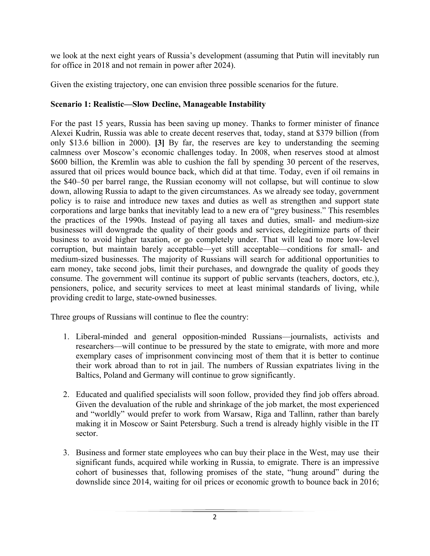we look at the next eight years of Russia's development (assuming that Putin will inevitably run for office in 2018 and not remain in power after 2024).

Given the existing trajectory, one can envision three possible scenarios for the future.

#### **Scenario 1: Realistic—Slow Decline, Manageable Instability**

For the past 15 years, Russia has been saving up money. Thanks to former minister of finance Alexei Kudrin, Russia was able to create decent reserves that, today, stand at \$379 billion (from only \$13.6 billion in 2000). **[3]** By far, the reserves are key to understanding the seeming calmness over Moscow's economic challenges today. In 2008, when reserves stood at almost \$600 billion, the Kremlin was able to cushion the fall by spending 30 percent of the reserves, assured that oil prices would bounce back, which did at that time. Today, even if oil remains in the \$40–50 per barrel range, the Russian economy will not collapse, but will continue to slow down, allowing Russia to adapt to the given circumstances. As we already see today, government policy is to raise and introduce new taxes and duties as well as strengthen and support state corporations and large banks that inevitably lead to a new era of "grey business." This resembles the practices of the 1990s. Instead of paying all taxes and duties, small- and medium-size businesses will downgrade the quality of their goods and services, delegitimize parts of their business to avoid higher taxation, or go completely under. That will lead to more low-level corruption, but maintain barely acceptable—yet still acceptable—conditions for small- and medium-sized businesses. The majority of Russians will search for additional opportunities to earn money, take second jobs, limit their purchases, and downgrade the quality of goods they consume. The government will continue its support of public servants (teachers, doctors, etc.), pensioners, police, and security services to meet at least minimal standards of living, while providing credit to large, state-owned businesses.

Three groups of Russians will continue to flee the country:

- 1. Liberal-minded and general opposition-minded Russians—journalists, activists and researchers—will continue to be pressured by the state to emigrate, with more and more exemplary cases of imprisonment convincing most of them that it is better to continue their work abroad than to rot in jail. The numbers of Russian expatriates living in the Baltics, Poland and Germany will continue to grow significantly.
- 2. Educated and qualified specialists will soon follow, provided they find job offers abroad. Given the devaluation of the ruble and shrinkage of the job market, the most experienced and "worldly" would prefer to work from Warsaw, Riga and Tallinn, rather than barely making it in Moscow or Saint Petersburg. Such a trend is already highly visible in the IT sector.
- 3. Business and former state employees who can buy their place in the West, may use their significant funds, acquired while working in Russia, to emigrate. There is an impressive cohort of businesses that, following promises of the state, "hung around" during the downslide since 2014, waiting for oil prices or economic growth to bounce back in 2016;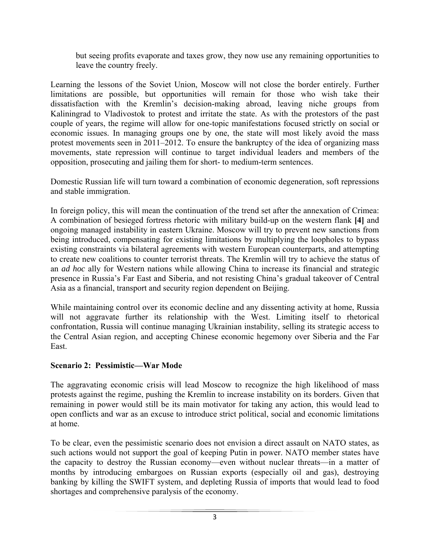but seeing profits evaporate and taxes grow, they now use any remaining opportunities to leave the country freely.

Learning the lessons of the Soviet Union, Moscow will not close the border entirely. Further limitations are possible, but opportunities will remain for those who wish take their dissatisfaction with the Kremlin's decision-making abroad, leaving niche groups from Kaliningrad to Vladivostok to protest and irritate the state. As with the protestors of the past couple of years, the regime will allow for one-topic manifestations focused strictly on social or economic issues. In managing groups one by one, the state will most likely avoid the mass protest movements seen in 2011–2012. To ensure the bankruptcy of the idea of organizing mass movements, state repression will continue to target individual leaders and members of the opposition, prosecuting and jailing them for short- to medium-term sentences.

Domestic Russian life will turn toward a combination of economic degeneration, soft repressions and stable immigration.

In foreign policy, this will mean the continuation of the trend set after the annexation of Crimea: A combination of besieged fortress rhetoric with military build-up on the western flank **[4]** and ongoing managed instability in eastern Ukraine. Moscow will try to prevent new sanctions from being introduced, compensating for existing limitations by multiplying the loopholes to bypass existing constraints via bilateral agreements with western European counterparts, and attempting to create new coalitions to counter terrorist threats. The Kremlin will try to achieve the status of an *ad hoc* ally for Western nations while allowing China to increase its financial and strategic presence in Russia's Far East and Siberia, and not resisting China's gradual takeover of Central Asia as a financial, transport and security region dependent on Beijing.

While maintaining control over its economic decline and any dissenting activity at home, Russia will not aggravate further its relationship with the West. Limiting itself to rhetorical confrontation, Russia will continue managing Ukrainian instability, selling its strategic access to the Central Asian region, and accepting Chinese economic hegemony over Siberia and the Far East.

#### **Scenario 2: Pessimistic—War Mode**

The aggravating economic crisis will lead Moscow to recognize the high likelihood of mass protests against the regime, pushing the Kremlin to increase instability on its borders. Given that remaining in power would still be its main motivator for taking any action, this would lead to open conflicts and war as an excuse to introduce strict political, social and economic limitations at home.

To be clear, even the pessimistic scenario does not envision a direct assault on NATO states, as such actions would not support the goal of keeping Putin in power. NATO member states have the capacity to destroy the Russian economy—even without nuclear threats—in a matter of months by introducing embargoes on Russian exports (especially oil and gas), destroying banking by killing the SWIFT system, and depleting Russia of imports that would lead to food shortages and comprehensive paralysis of the economy.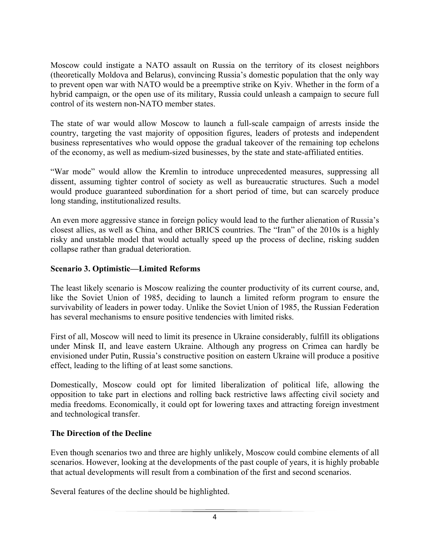Moscow could instigate a NATO assault on Russia on the territory of its closest neighbors (theoretically Moldova and Belarus), convincing Russia's domestic population that the only way to prevent open war with NATO would be a preemptive strike on Kyiv. Whether in the form of a hybrid campaign, or the open use of its military, Russia could unleash a campaign to secure full control of its western non-NATO member states.

The state of war would allow Moscow to launch a full-scale campaign of arrests inside the country, targeting the vast majority of opposition figures, leaders of protests and independent business representatives who would oppose the gradual takeover of the remaining top echelons of the economy, as well as medium-sized businesses, by the state and state-affiliated entities.

"War mode" would allow the Kremlin to introduce unprecedented measures, suppressing all dissent, assuming tighter control of society as well as bureaucratic structures. Such a model would produce guaranteed subordination for a short period of time, but can scarcely produce long standing, institutionalized results.

An even more aggressive stance in foreign policy would lead to the further alienation of Russia's closest allies, as well as China, and other BRICS countries. The "Iran" of the 2010s is a highly risky and unstable model that would actually speed up the process of decline, risking sudden collapse rather than gradual deterioration.

### **Scenario 3. Optimistic—Limited Reforms**

The least likely scenario is Moscow realizing the counter productivity of its current course, and, like the Soviet Union of 1985, deciding to launch a limited reform program to ensure the survivability of leaders in power today. Unlike the Soviet Union of 1985, the Russian Federation has several mechanisms to ensure positive tendencies with limited risks.

First of all, Moscow will need to limit its presence in Ukraine considerably, fulfill its obligations under Minsk II, and leave eastern Ukraine. Although any progress on Crimea can hardly be envisioned under Putin, Russia's constructive position on eastern Ukraine will produce a positive effect, leading to the lifting of at least some sanctions.

Domestically, Moscow could opt for limited liberalization of political life, allowing the opposition to take part in elections and rolling back restrictive laws affecting civil society and media freedoms. Economically, it could opt for lowering taxes and attracting foreign investment and technological transfer.

#### **The Direction of the Decline**

Even though scenarios two and three are highly unlikely, Moscow could combine elements of all scenarios. However, looking at the developments of the past couple of years, it is highly probable that actual developments will result from a combination of the first and second scenarios.

Several features of the decline should be highlighted.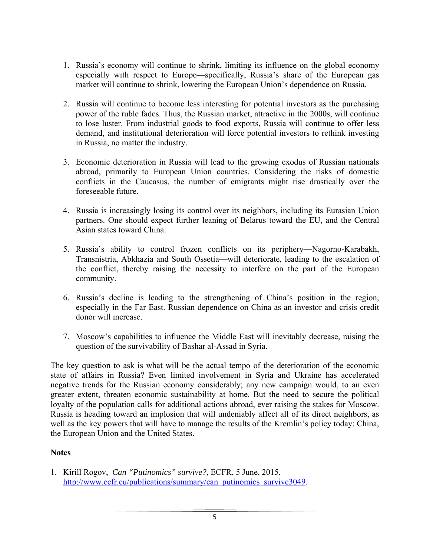- 1. Russia's economy will continue to shrink, limiting its influence on the global economy especially with respect to Europe—specifically, Russia's share of the European gas market will continue to shrink, lowering the European Union's dependence on Russia.
- 2. Russia will continue to become less interesting for potential investors as the purchasing power of the ruble fades. Thus, the Russian market, attractive in the 2000s, will continue to lose luster. From industrial goods to food exports, Russia will continue to offer less demand, and institutional deterioration will force potential investors to rethink investing in Russia, no matter the industry.
- 3. Economic deterioration in Russia will lead to the growing exodus of Russian nationals abroad, primarily to European Union countries. Considering the risks of domestic conflicts in the Caucasus, the number of emigrants might rise drastically over the foreseeable future.
- 4. Russia is increasingly losing its control over its neighbors, including its Eurasian Union partners. One should expect further leaning of Belarus toward the EU, and the Central Asian states toward China.
- 5. Russia's ability to control frozen conflicts on its periphery—Nagorno-Karabakh, Transnistria, Abkhazia and South Ossetia—will deteriorate, leading to the escalation of the conflict, thereby raising the necessity to interfere on the part of the European community.
- 6. Russia's decline is leading to the strengthening of China's position in the region, especially in the Far East. Russian dependence on China as an investor and crisis credit donor will increase.
- 7. Moscow's capabilities to influence the Middle East will inevitably decrease, raising the question of the survivability of Bashar al-Assad in Syria.

The key question to ask is what will be the actual tempo of the deterioration of the economic state of affairs in Russia? Even limited involvement in Syria and Ukraine has accelerated negative trends for the Russian economy considerably; any new campaign would, to an even greater extent, threaten economic sustainability at home. But the need to secure the political loyalty of the population calls for additional actions abroad, ever raising the stakes for Moscow. Russia is heading toward an implosion that will undeniably affect all of its direct neighbors, as well as the key powers that will have to manage the results of the Kremlin's policy today: China, the European Union and the United States.

#### **Notes**

1. Kirill Rogov, *Can "Putinomics" survive?*, ECFR, 5 June, 2015, http://www.ecfr.eu/publications/summary/can\_putinomics\_survive3049.